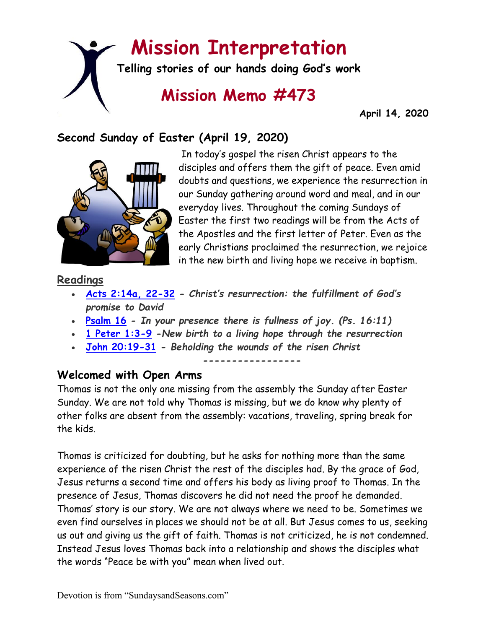# **Mission Interpretation**

**Telling stories of our hands doing God's work**

## **Mission Memo #473**

 **April 14, 2020**

## **Second Sunday of Easter (April 19, 2020)**



In today's gospel the risen Christ appears to the disciples and offers them the gift of peace. Even amid doubts and questions, we experience the resurrection in our Sunday gathering around word and meal, and in our everyday lives. Throughout the coming Sundays of Easter the first two readings will be from the Acts of the Apostles and the first letter of Peter. Even as the early Christians proclaimed the resurrection, we rejoice in the new birth and living hope we receive in baptism.

### **Readings**

- **[Acts 2:14a, 22-32](https://members.sundaysandseasons.com/) -** *Christ's resurrection: the fulfillment of God's promise to David*
- **[Psalm 16](https://members.sundaysandseasons.com/) -** *In your presence there is fullness of joy. (Ps. 16:11)*
- **[1 Peter 1:3-9](https://members.sundaysandseasons.com/) -***New birth to a living hope through the resurrection*
- **[John 20:19-31](https://members.sundaysandseasons.com/) -** *Beholding the wounds of the risen Christ*

**-----------------**

## **Welcomed with Open Arms**

Thomas is not the only one missing from the assembly the Sunday after Easter Sunday. We are not told why Thomas is missing, but we do know why plenty of other folks are absent from the assembly: vacations, traveling, spring break for the kids.

Thomas is criticized for doubting, but he asks for nothing more than the same experience of the risen Christ the rest of the disciples had. By the grace of God, Jesus returns a second time and offers his body as living proof to Thomas. In the presence of Jesus, Thomas discovers he did not need the proof he demanded. Thomas' story is our story. We are not always where we need to be. Sometimes we even find ourselves in places we should not be at all. But Jesus comes to us, seeking us out and giving us the gift of faith. Thomas is not criticized, he is not condemned. Instead Jesus loves Thomas back into a relationship and shows the disciples what the words "Peace be with you" mean when lived out.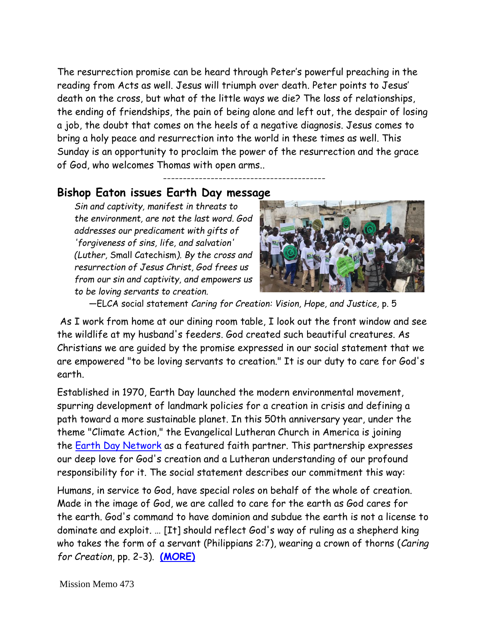The resurrection promise can be heard through Peter's powerful preaching in the reading from Acts as well. Jesus will triumph over death. Peter points to Jesus' death on the cross, but what of the little ways we die? The loss of relationships, the ending of friendships, the pain of being alone and left out, the despair of losing a job, the doubt that comes on the heels of a negative diagnosis. Jesus comes to bring a holy peace and resurrection into the world in these times as well. This Sunday is an opportunity to proclaim the power of the resurrection and the grace of God, who welcomes Thomas with open arms..

-----------------------------------------

#### **Bishop Eaton issues Earth Day message**

*Sin and captivity, manifest in threats to the environment, are not the last word. God addresses our predicament with gifts of 'forgiveness of sins, life, and salvation' (Luther,* Small Catechism*). By the cross and resurrection of Jesus Christ, God frees us from our sin and captivity, and empowers us to be loving servants to creation.*



—ELCA social statement *Caring for Creation: Vision, Hope, and Justice,* p. 5

As I work from home at our dining room table, I look out the front window and see the wildlife at my husband's feeders. God created such beautiful creatures. As Christians we are guided by the promise expressed in our social statement that we are empowered "to be loving servants to creation." It is our duty to care for God's earth.

Established in 1970, Earth Day launched the modern environmental movement, spurring development of landmark policies for a creation in crisis and defining a path toward a more sustainable planet. In this 50th anniversary year, under the theme "Climate Action," the Evangelical Lutheran Church in America is joining the [Earth Day Network](https://www.earthday.org/earth-day-2020/) as a featured faith partner. This partnership expresses our deep love for God's creation and a Lutheran understanding of our profound responsibility for it. The social statement describes our commitment this way:

Humans, in service to God, have special roles on behalf of the whole of creation. Made in the image of God, we are called to care for the earth as God cares for the earth. God's command to have dominion and subdue the earth is not a license to dominate and exploit. … [It] should reflect God's way of ruling as a shepherd king who takes the form of a servant (Philippians 2:7), wearing a crown of thorns (*Caring for Creation*, pp. 2-3). **[\(MORE\)](https://www.elca.org/News-and-Events/8034)**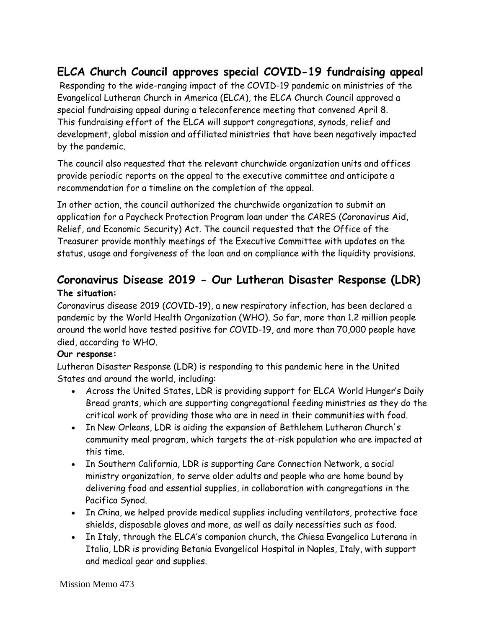## **ELCA Church Council approves special COVID-19 fundraising appeal**

Responding to the wide-ranging impact of the COVID-19 pandemic on ministries of the Evangelical Lutheran Church in America (ELCA), the ELCA Church Council approved a special fundraising appeal during a teleconference meeting that convened April 8. This fundraising effort of the ELCA will support congregations, synods, relief and development, global mission and affiliated ministries that have been negatively impacted by the pandemic.

The council also requested that the relevant churchwide organization units and offices provide periodic reports on the appeal to the executive committee and anticipate a recommendation for a timeline on the completion of the appeal.

In other action, the council authorized the churchwide organization to submit an application for a Paycheck Protection Program loan under the CARES (Coronavirus Aid, Relief, and Economic Security) Act. The council requested that the Office of the Treasurer provide monthly meetings of the Executive Committee with updates on the status, usage and forgiveness of the loan and on compliance with the liquidity provisions.

## **Coronavirus Disease 2019 - Our Lutheran Disaster Response (LDR) The situation:**

Coronavirus disease 2019 (COVID-19), a new respiratory infection, has been declared a pandemic by the World Health Organization (WHO). So far, more than 1.2 million people around the world have tested positive for COVID-19, and more than 70,000 people have died, according to WHO.

#### **Our response:**

Lutheran Disaster Response (LDR) is responding to this pandemic here in the United States and around the world, including:

- Across the United States, LDR is providing support for ELCA World Hunger's Daily Bread grants, which are supporting congregational feeding ministries as they do the critical work of providing those who are in need in their communities with food.
- In New Orleans, LDR is aiding the expansion of Bethlehem Lutheran Church's community meal program, which targets the at-risk population who are impacted at this time.
- In Southern California, LDR is supporting Care Connection Network, a social ministry organization, to serve older adults and people who are home bound by delivering food and essential supplies, in collaboration with congregations in the Pacifica Synod.
- In China, we helped provide medical supplies including ventilators, protective face shields, disposable gloves and more, as well as daily necessities such as food.
- In Italy, through the ELCA's companion church, the Chiesa Evangelica Luterana in Italia, LDR is providing Betania Evangelical Hospital in Naples, Italy, with support and medical gear and supplies.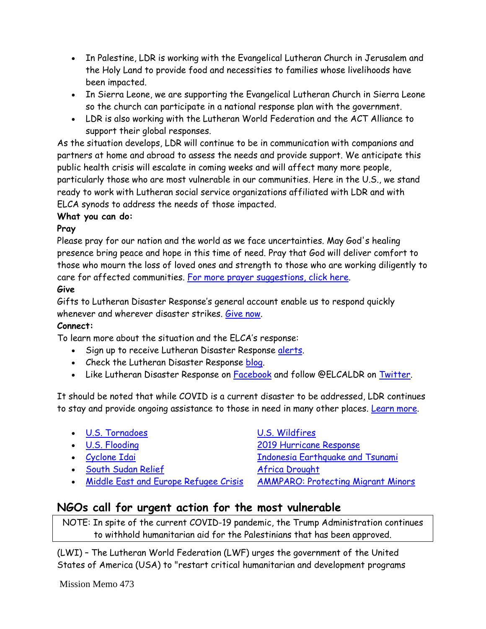- In Palestine, LDR is working with the Evangelical Lutheran Church in Jerusalem and the Holy Land to provide food and necessities to families whose livelihoods have been impacted.
- In Sierra Leone, we are supporting the Evangelical Lutheran Church in Sierra Leone so the church can participate in a national response plan with the government.
- LDR is also working with the Lutheran World Federation and the ACT Alliance to support their global responses.

As the situation develops, LDR will continue to be in communication with companions and partners at home and abroad to assess the needs and provide support. We anticipate this public health crisis will escalate in coming weeks and will affect many more people, particularly those who are most vulnerable in our communities. Here in the U.S., we stand ready to work with Lutheran social service organizations affiliated with LDR and with ELCA synods to address the needs of those impacted.

#### **What you can do:**

#### **Pray**

Please pray for our nation and the world as we face uncertainties. May God's healing presence bring peace and hope in this time of need. Pray that God will deliver comfort to those who mourn the loss of loved ones and strength to those who are working diligently to care for affected communities. [For more prayer suggestions, click here.](https://download.elca.org/ELCA%20Resource%20Repository/Prayers_for_Times_of_Public_Health_Concerns_COVID-19.pdf)

#### **Give**

Gifts to Lutheran Disaster Response's general account enable us to respond quickly whenever and wherever disaster strikes. [Give now.](https://community.elca.org/lutherandisasterresponse)

#### **Connect:**

To learn more about the situation and the ELCA's response:

- Sign up to receive Lutheran Disaster Response [alerts.](http://listserv.elca.org/cgi-bin/wa.exe?SUBED1=DISASTER&A=1)
- Check the Lutheran Disaster Response [blog.](http://blogs.elca.org/disasterresponse/)
- Like Lutheran Disaster Response on [Facebook](https://www.facebook.com/ELCALDR) and follow @ELCALDR on [Twitter.](https://twitter.com/elcaldr)

It should be noted that while COVID is a current disaster to be addressed, LDR continues to stay and provide ongoing assistance to those in need in many other places. [Learn more.](https://www.elca.org/Our-Work/Relief-and-Development/Lutheran-Disaster-Response/How-We-Work)

| • U.S. Tornadoes                        | U.S. Wildfires                            |
|-----------------------------------------|-------------------------------------------|
| . U.S. Flooding                         | 2019 Hurricane Response                   |
| • Cyclone Idai                          | Indonesia Earthquake and Tsunami          |
| • South Sudan Relief                    | Africa Drought                            |
| • Middle East and Europe Refugee Crisis | <b>AMMPARO: Protecting Migrant Minors</b> |
|                                         |                                           |

#### **NGOs call for urgent action for the most vulnerable**

NOTE: In spite of the current COVID-19 pandemic, the Trump Administration continues to withhold humanitarian aid for the Palestinians that has been approved.

(LWI) – The Lutheran World Federation (LWF) urges the government of the United States of America (USA) to "restart critical humanitarian and development programs

Mission Memo 473